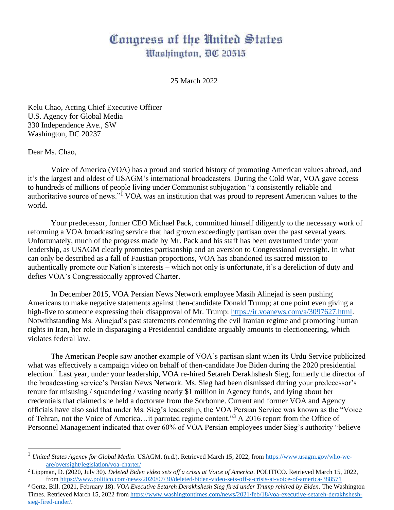## Congress of the United States Washington, DC 20515

25 March 2022

Kelu Chao, Acting Chief Executive Officer U.S. Agency for Global Media 330 Independence Ave., SW Washington, DC 20237

Dear Ms. Chao,

Voice of America (VOA) has a proud and storied history of promoting American values abroad, and it's the largest and oldest of USAGM's international broadcasters. During the Cold War, VOA gave access to hundreds of millions of people living under Communist subjugation "a consistently reliable and authoritative source of news."<sup>1</sup> VOA was an institution that was proud to represent American values to the world.

Your predecessor, former CEO Michael Pack, committed himself diligently to the necessary work of reforming a VOA broadcasting service that had grown exceedingly partisan over the past several years. Unfortunately, much of the progress made by Mr. Pack and his staff has been overturned under your leadership, as USAGM clearly promotes partisanship and an aversion to Congressional oversight. In what can only be described as a fall of Faustian proportions, VOA has abandoned its sacred mission to authentically promote our Nation's interests – which not only is unfortunate, it's a dereliction of duty and defies VOA's Congressionally approved Charter.

In December 2015, VOA Persian News Network employee Masih Alinejad is seen pushing Americans to make negative statements against then-candidate Donald Trump; at one point even giving a high-five to someone expressing their disapproval of Mr. Trump: [https://ir.voanews.com/a/3097627.html.](https://ir.voanews.com/a/3097627.html) Notwithstanding Ms. Alinejad's past statements condemning the evil Iranian regime and promoting human rights in Iran, her role in disparaging a Presidential candidate arguably amounts to electioneering, which violates federal law.

The American People saw another example of VOA's partisan slant when its Urdu Service publicized what was effectively a campaign video on behalf of then-candidate Joe Biden during the 2020 presidential election.<sup>2</sup> Last year, under your leadership, VOA re-hired Setareh Derakhshesh Sieg, formerly the director of the broadcasting service's Persian News Network. Ms. Sieg had been dismissed during your predecessor's tenure for misusing / squandering / wasting nearly \$1 million in Agency funds, and lying about her credentials that claimed she held a doctorate from the Sorbonne. Current and former VOA and Agency officials have also said that under Ms. Sieg's leadership, the VOA Persian Service was known as the "Voice of Tehran, not the Voice of America…it parroted regime content."<sup>3</sup> A 2016 report from the Office of Personnel Management indicated that over 60% of VOA Persian employees under Sieg's authority "believe

<sup>&</sup>lt;sup>1</sup> *United States Agency for Global Media*. USAGM. (n.d.). Retrieved March 15, 2022, from [https://www.usagm.gov/who-we](https://www.usagm.gov/who-we-are/oversight/legislation/voa-charter/)[are/oversight/legislation/voa-charter/](https://www.usagm.gov/who-we-are/oversight/legislation/voa-charter/) 

<sup>2</sup> Lippman, D. (2020, July 30). *Deleted Biden video sets off a crisis at Voice of America*. POLITICO. Retrieved March 15, 2022, fro[m https://www.politico.com/news/2020/07/30/deleted-biden-video-sets-off-a-crisis-at-voice-of-america-388571](https://www.politico.com/news/2020/07/30/deleted-biden-video-sets-off-a-crisis-at-voice-of-america-388571)

<sup>3</sup> Gertz, Bill. (2021, February 18). *VOA Executive Setareh Derakhshesh Sieg fired under Trump rehired by Biden*. The Washington Times. Retrieved March 15, 2022 fro[m https://www.washingtontimes.com/news/2021/feb/18/voa-executive-setareh-derakhshesh](https://www.washingtontimes.com/news/2021/feb/18/voa-executive-setareh-derakhshesh-sieg-fired-under/)[sieg-fired-under/.](https://www.washingtontimes.com/news/2021/feb/18/voa-executive-setareh-derakhshesh-sieg-fired-under/)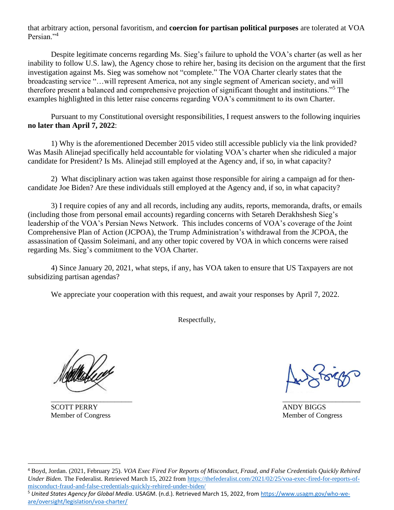that arbitrary action, personal favoritism, and **coercion for partisan political purposes** are tolerated at VOA Persian."<sup>4</sup>

Despite legitimate concerns regarding Ms. Sieg's failure to uphold the VOA's charter (as well as her inability to follow U.S. law), the Agency chose to rehire her, basing its decision on the argument that the first investigation against Ms. Sieg was somehow not "complete." The VOA Charter clearly states that the broadcasting service "…will represent America, not any single segment of American society, and will therefore present a balanced and comprehensive projection of significant thought and institutions."<sup>5</sup> The examples highlighted in this letter raise concerns regarding VOA's commitment to its own Charter.

Pursuant to my Constitutional oversight responsibilities, I request answers to the following inquiries **no later than April 7, 2022**:

1) Why is the aforementioned December 2015 video still accessible publicly via the link provided? Was Masih Alinejad specifically held accountable for violating VOA's charter when she ridiculed a major candidate for President? Is Ms. Alinejad still employed at the Agency and, if so, in what capacity?

2) What disciplinary action was taken against those responsible for airing a campaign ad for thencandidate Joe Biden? Are these individuals still employed at the Agency and, if so, in what capacity?

3) I require copies of any and all records, including any audits, reports, memoranda, drafts, or emails (including those from personal email accounts) regarding concerns with Setareh Derakhshesh Sieg's leadership of the VOA's Persian News Network. This includes concerns of VOA's coverage of the Joint Comprehensive Plan of Action (JCPOA), the Trump Administration's withdrawal from the JCPOA, the assassination of Qassim Soleimani, and any other topic covered by VOA in which concerns were raised regarding Ms. Sieg's commitment to the VOA Charter.

4) Since January 20, 2021, what steps, if any, has VOA taken to ensure that US Taxpayers are not subsidizing partisan agendas?

We appreciate your cooperation with this request, and await your responses by April 7, 2022.

Respectfully,

SCOTT PERRY AND Y BIGGS Member of Congress Member of Congress Member of Congress Member of Congress Member of Congress Member of Congress  $\mathbb{R}^n$ 

 $\overline{\phantom{a}}$  , and the contract of the contract of the contract of the contract of the contract of the contract of the contract of the contract of the contract of the contract of the contract of the contract of the contrac

<sup>4</sup> Boyd, Jordan. (2021, February 25). *VOA Exec Fired For Reports of Misconduct, Fraud, and False Credentials Quickly Rehired Under Biden.* The Federalist. Retrieved March 15, 2022 from [https://thefederalist.com/2021/02/25/voa-exec-fired-for-reports-of](https://thefederalist.com/2021/02/25/voa-exec-fired-for-reports-of-misconduct-fraud-and-false-credentials-quickly-rehired-under-biden/)[misconduct-fraud-and-false-credentials-quickly-rehired-under-biden/](https://thefederalist.com/2021/02/25/voa-exec-fired-for-reports-of-misconduct-fraud-and-false-credentials-quickly-rehired-under-biden/)

<sup>5</sup> *United States Agency for Global Media*. USAGM. (n.d.). Retrieved March 15, 2022, from [https://www.usagm.gov/who-we](https://www.usagm.gov/who-we-are/oversight/legislation/voa-charter/)[are/oversight/legislation/voa-charter/](https://www.usagm.gov/who-we-are/oversight/legislation/voa-charter/)